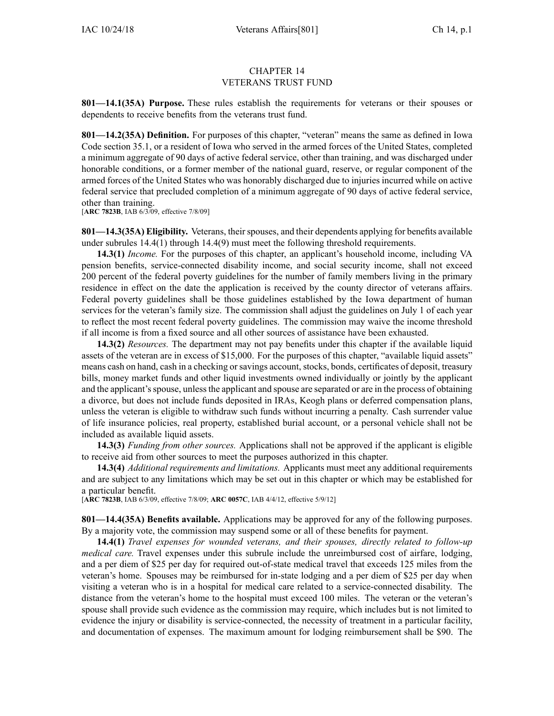## CHAPTER 14 VETERANS TRUST FUND

**801—14.1(35A) Purpose.** These rules establish the requirements for veterans or their spouses or dependents to receive benefits from the veterans trust fund.

**801—14.2(35A) Definition.** For purposes of this chapter, "veteran" means the same as defined in Iowa Code section [35.1](https://www.legis.iowa.gov/docs/ico/section/35.1.pdf), or <sup>a</sup> resident of Iowa who served in the armed forces of the United States, completed <sup>a</sup> minimum aggregate of 90 days of active federal service, other than training, and was discharged under honorable conditions, or <sup>a</sup> former member of the national guard, reserve, or regular componen<sup>t</sup> of the armed forces of the United States who was honorably discharged due to injuries incurred while on active federal service that precluded completion of <sup>a</sup> minimum aggregate of 90 days of active federal service, other than training.

[**ARC [7823B](https://www.legis.iowa.gov/docs/aco/arc/7823B.pdf)**, IAB 6/3/09, effective 7/8/09]

**801—14.3(35A)** Eligibility. Veterans, their spouses, and their dependents applying for benefits available under subrules [14.4\(1\)](https://www.legis.iowa.gov/docs/iac/rule/801.14.4.pdf) through [14.4\(9\)](https://www.legis.iowa.gov/docs/iac/rule/801.14.4.pdf) must meet the following threshold requirements.

**14.3(1)** *Income.* For the purposes of this chapter, an applicant's household income, including VA pension benefits, service-connected disability income, and social security income, shall not exceed 200 percen<sup>t</sup> of the federal poverty guidelines for the number of family members living in the primary residence in effect on the date the application is received by the county director of veterans affairs. Federal poverty guidelines shall be those guidelines established by the Iowa department of human services for the veteran's family size. The commission shall adjust the guidelines on July 1 of each year to reflect the most recent federal poverty guidelines. The commission may waive the income threshold if all income is from <sup>a</sup> fixed source and all other sources of assistance have been exhausted.

**14.3(2)** *Resources.* The department may not pay benefits under this chapter if the available liquid assets of the veteran are in excess of \$15,000. For the purposes of this chapter, "available liquid assets" means cash on hand, cash in a checking or savings account, stocks, bonds, certificates of deposit, treasury bills, money market funds and other liquid investments owned individually or jointly by the applicant and the applicant's spouse, unless the applicant and spouse are separated or are in the process of obtaining <sup>a</sup> divorce, but does not include funds deposited in IRAs, Keogh plans or deferred compensation plans, unless the veteran is eligible to withdraw such funds without incurring <sup>a</sup> penalty. Cash surrender value of life insurance policies, real property, established burial account, or <sup>a</sup> personal vehicle shall not be included as available liquid assets.

**14.3(3)** *Funding from other sources.* Applications shall not be approved if the applicant is eligible to receive aid from other sources to meet the purposes authorized in this chapter.

**14.3(4)** *Additional requirements and limitations.* Applicants must meet any additional requirements and are subject to any limitations which may be set out in this chapter or which may be established for <sup>a</sup> particular benefit.

[**ARC [7823B](https://www.legis.iowa.gov/docs/aco/arc/7823B.pdf)**, IAB 6/3/09, effective 7/8/09; **ARC [0057C](https://www.legis.iowa.gov/docs/aco/arc/0057C.pdf)**, IAB 4/4/12, effective 5/9/12]

**801—14.4(35A) Benefits available.** Applications may be approved for any of the following purposes. By <sup>a</sup> majority vote, the commission may suspend some or all of these benefits for payment.

**14.4(1)** *Travel expenses for wounded veterans, and their spouses, directly related to follow-up medical care.* Travel expenses under this subrule include the unreimbursed cost of airfare, lodging, and <sup>a</sup> per diem of \$25 per day for required out-of-state medical travel that exceeds 125 miles from the veteran's home. Spouses may be reimbursed for in-state lodging and <sup>a</sup> per diem of \$25 per day when visiting <sup>a</sup> veteran who is in <sup>a</sup> hospital for medical care related to <sup>a</sup> service-connected disability. The distance from the veteran's home to the hospital must exceed 100 miles. The veteran or the veteran's spouse shall provide such evidence as the commission may require, which includes but is not limited to evidence the injury or disability is service-connected, the necessity of treatment in <sup>a</sup> particular facility, and documentation of expenses. The maximum amount for lodging reimbursement shall be \$90. The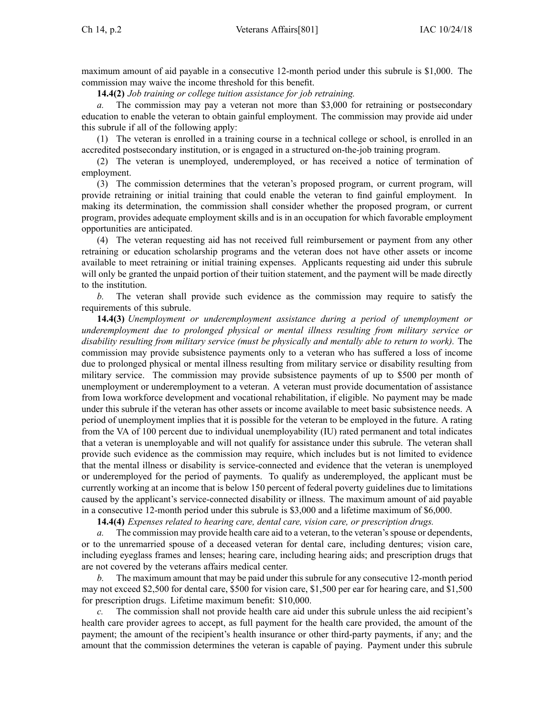maximum amount of aid payable in <sup>a</sup> consecutive 12-month period under this subrule is \$1,000. The commission may waive the income threshold for this benefit.

**14.4(2)** *Job training or college tuition assistance for job retraining.*

*a.* The commission may pay <sup>a</sup> veteran not more than \$3,000 for retraining or postsecondary education to enable the veteran to obtain gainful employment. The commission may provide aid under this subrule if all of the following apply:

(1) The veteran is enrolled in <sup>a</sup> training course in <sup>a</sup> technical college or school, is enrolled in an accredited postsecondary institution, or is engaged in <sup>a</sup> structured on-the-job training program.

(2) The veteran is unemployed, underemployed, or has received <sup>a</sup> notice of termination of employment.

(3) The commission determines that the veteran's proposed program, or current program, will provide retraining or initial training that could enable the veteran to find gainful employment. In making its determination, the commission shall consider whether the proposed program, or current program, provides adequate employment skills and is in an occupation for which favorable employment opportunities are anticipated.

(4) The veteran requesting aid has not received full reimbursement or paymen<sup>t</sup> from any other retraining or education scholarship programs and the veteran does not have other assets or income available to meet retraining or initial training expenses. Applicants requesting aid under this subrule will only be granted the unpaid portion of their tuition statement, and the payment will be made directly to the institution.

*b.* The veteran shall provide such evidence as the commission may require to satisfy the requirements of this subrule.

**14.4(3)** *Unemployment or underemployment assistance during <sup>a</sup> period of unemployment or underemployment due to prolonged physical or mental illness resulting from military service or disability resulting from military service (must be physically and mentally able to return to work).* The commission may provide subsistence payments only to <sup>a</sup> veteran who has suffered <sup>a</sup> loss of income due to prolonged physical or mental illness resulting from military service or disability resulting from military service. The commission may provide subsistence payments of up to \$500 per month of unemployment or underemployment to <sup>a</sup> veteran. A veteran must provide documentation of assistance from Iowa workforce development and vocational rehabilitation, if eligible. No paymen<sup>t</sup> may be made under this subrule if the veteran has other assets or income available to meet basic subsistence needs. A period of unemployment implies that it is possible for the veteran to be employed in the future. A rating from the VA of 100 percen<sup>t</sup> due to individual unemployability (IU) rated permanen<sup>t</sup> and total indicates that <sup>a</sup> veteran is unemployable and will not qualify for assistance under this subrule. The veteran shall provide such evidence as the commission may require, which includes but is not limited to evidence that the mental illness or disability is service-connected and evidence that the veteran is unemployed or underemployed for the period of payments. To qualify as underemployed, the applicant must be currently working at an income that is below 150 percen<sup>t</sup> of federal poverty guidelines due to limitations caused by the applicant's service-connected disability or illness. The maximum amount of aid payable in <sup>a</sup> consecutive 12-month period under this subrule is \$3,000 and <sup>a</sup> lifetime maximum of \$6,000.

**14.4(4)** *Expenses related to hearing care, dental care, vision care, or prescription drugs.*

*a.* The commission may provide health care aid to <sup>a</sup> veteran, to the veteran'sspouse or dependents, or to the unremarried spouse of <sup>a</sup> deceased veteran for dental care, including dentures; vision care, including eyeglass frames and lenses; hearing care, including hearing aids; and prescription drugs that are not covered by the veterans affairs medical center.

*b.* The maximum amount that may be paid under thissubrule for any consecutive 12-month period may not exceed \$2,500 for dental care, \$500 for vision care, \$1,500 per ear for hearing care, and \$1,500 for prescription drugs. Lifetime maximum benefit: \$10,000.

*c.* The commission shall not provide health care aid under this subrule unless the aid recipient's health care provider agrees to accept, as full paymen<sup>t</sup> for the health care provided, the amount of the payment; the amount of the recipient's health insurance or other third-party payments, if any; and the amount that the commission determines the veteran is capable of paying. Payment under this subrule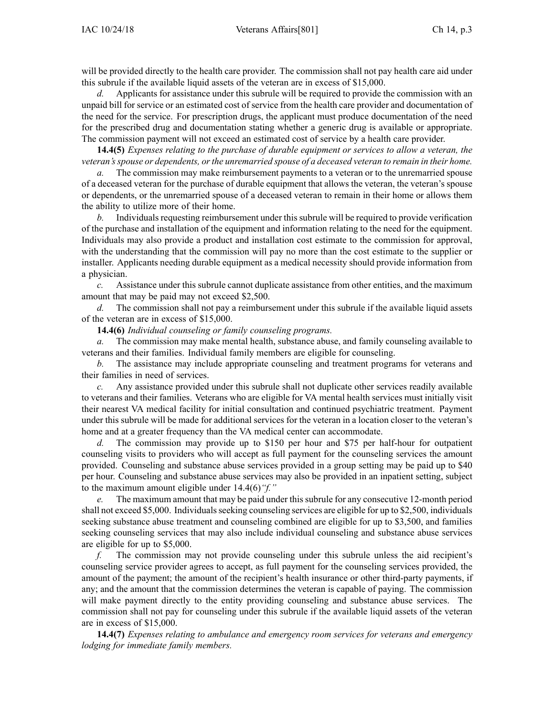will be provided directly to the health care provider. The commission shall not pay health care aid under this subrule if the available liquid assets of the veteran are in excess of \$15,000.

*d.* Applicants for assistance under this subrule will be required to provide the commission with an unpaid bill for service or an estimated cost of service from the health care provider and documentation of the need for the service. For prescription drugs, the applicant must produce documentation of the need for the prescribed drug and documentation stating whether <sup>a</sup> generic drug is available or appropriate. The commission paymen<sup>t</sup> will not exceed an estimated cost of service by <sup>a</sup> health care provider.

**14.4(5)** *Expenses relating to the purchase of durable equipment or services to allow <sup>a</sup> veteran, the veteran'sspouse or dependents, orthe unremarried spouse of <sup>a</sup> deceased veteran to remain in their home.*

*a.* The commission may make reimbursement payments to <sup>a</sup> veteran or to the unremarried spouse of <sup>a</sup> deceased veteran for the purchase of durable equipment that allows the veteran, the veteran's spouse or dependents, or the unremarried spouse of <sup>a</sup> deceased veteran to remain in their home or allows them the ability to utilize more of their home.

*b.* Individuals requesting reimbursement under this subrule will be required to provide verification of the purchase and installation of the equipment and information relating to the need for the equipment. Individuals may also provide <sup>a</sup> product and installation cost estimate to the commission for approval, with the understanding that the commission will pay no more than the cost estimate to the supplier or installer. Applicants needing durable equipment as <sup>a</sup> medical necessity should provide information from <sup>a</sup> physician.

*c.* Assistance under this subrule cannot duplicate assistance from other entities, and the maximum amount that may be paid may not exceed \$2,500.

*d.* The commission shall not pay <sup>a</sup> reimbursement under this subrule if the available liquid assets of the veteran are in excess of \$15,000.

**14.4(6)** *Individual counseling or family counseling programs.*

*a.* The commission may make mental health, substance abuse, and family counseling available to veterans and their families. Individual family members are eligible for counseling.

*b.* The assistance may include appropriate counseling and treatment programs for veterans and their families in need of services.

*c.* Any assistance provided under this subrule shall not duplicate other services readily available to veterans and their families. Veterans who are eligible for VA mental health services must initially visit their nearest VA medical facility for initial consultation and continued psychiatric treatment. Payment under this subrule will be made for additional services for the veteran in <sup>a</sup> location closer to the veteran's home and at <sup>a</sup> greater frequency than the VA medical center can accommodate.

*d.* The commission may provide up to \$150 per hour and \$75 per half-hour for outpatient counseling visits to providers who will accep<sup>t</sup> as full paymen<sup>t</sup> for the counseling services the amount provided. Counseling and substance abuse services provided in <sup>a</sup> group setting may be paid up to \$40 per hour. Counseling and substance abuse services may also be provided in an inpatient setting, subject to the maximum amount eligible under [14.4\(6\)](https://www.legis.iowa.gov/docs/iac/rule/801.14.4.pdf)*"f."*

*e.* The maximum amount that may be paid under thissubrule for any consecutive 12-month period shall not exceed \$5,000. Individuals seeking counseling services are eligible for up to \$2,500, individuals seeking substance abuse treatment and counseling combined are eligible for up to \$3,500, and families seeking counseling services that may also include individual counseling and substance abuse services are eligible for up to \$5,000.

*f.* The commission may not provide counseling under this subrule unless the aid recipient's counseling service provider agrees to accept, as full paymen<sup>t</sup> for the counseling services provided, the amount of the payment; the amount of the recipient's health insurance or other third-party payments, if any; and the amount that the commission determines the veteran is capable of paying. The commission will make paymen<sup>t</sup> directly to the entity providing counseling and substance abuse services. The commission shall not pay for counseling under this subrule if the available liquid assets of the veteran are in excess of \$15,000.

**14.4(7)** *Expenses relating to ambulance and emergency room services for veterans and emergency lodging for immediate family members.*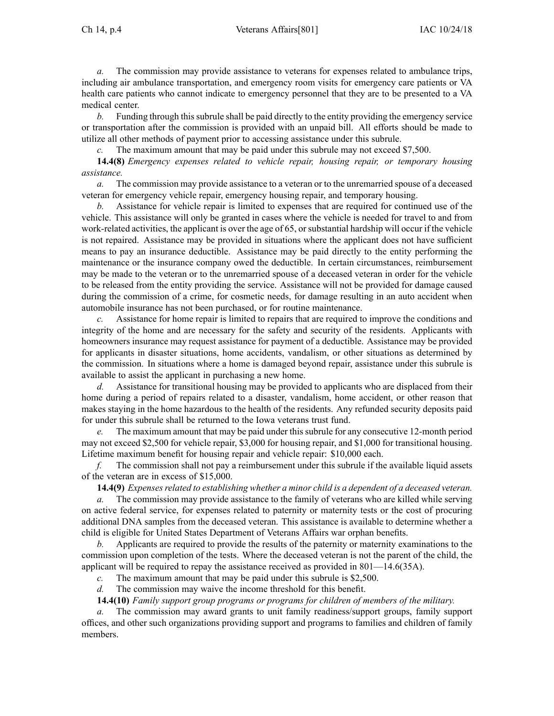*a.* The commission may provide assistance to veterans for expenses related to ambulance trips, including air ambulance transportation, and emergency room visits for emergency care patients or VA health care patients who cannot indicate to emergency personnel that they are to be presented to <sup>a</sup> VA medical center.

*b.* Funding through this subrule shall be paid directly to the entity providing the emergency service or transportation after the commission is provided with an unpaid bill. All efforts should be made to utilize all other methods of paymen<sup>t</sup> prior to accessing assistance under this subrule.

The maximum amount that may be paid under this subrule may not exceed \$7,500.

**14.4(8)** *Emergency expenses related to vehicle repair, housing repair, or temporary housing assistance.*

*a.* The commission may provide assistance to <sup>a</sup> veteran or to the unremarried spouse of <sup>a</sup> deceased veteran for emergency vehicle repair, emergency housing repair, and temporary housing.

*b.* Assistance for vehicle repair is limited to expenses that are required for continued use of the vehicle. This assistance will only be granted in cases where the vehicle is needed for travel to and from work-related activities, the applicant is over the age of 65, orsubstantial hardship will occur if the vehicle is not repaired. Assistance may be provided in situations where the applicant does not have sufficient means to pay an insurance deductible. Assistance may be paid directly to the entity performing the maintenance or the insurance company owed the deductible. In certain circumstances, reimbursement may be made to the veteran or to the unremarried spouse of <sup>a</sup> deceased veteran in order for the vehicle to be released from the entity providing the service. Assistance will not be provided for damage caused during the commission of <sup>a</sup> crime, for cosmetic needs, for damage resulting in an auto accident when automobile insurance has not been purchased, or for routine maintenance.

*c.* Assistance for home repair is limited to repairs that are required to improve the conditions and integrity of the home and are necessary for the safety and security of the residents. Applicants with homeowners insurance may reques<sup>t</sup> assistance for paymen<sup>t</sup> of <sup>a</sup> deductible. Assistance may be provided for applicants in disaster situations, home accidents, vandalism, or other situations as determined by the commission. In situations where <sup>a</sup> home is damaged beyond repair, assistance under this subrule is available to assist the applicant in purchasing <sup>a</sup> new home.

*d.* Assistance for transitional housing may be provided to applicants who are displaced from their home during <sup>a</sup> period of repairs related to <sup>a</sup> disaster, vandalism, home accident, or other reason that makes staying in the home hazardous to the health of the residents. Any refunded security deposits paid for under this subrule shall be returned to the Iowa veterans trust fund.

*e.* The maximum amount that may be paid under thissubrule for any consecutive 12-month period may not exceed \$2,500 for vehicle repair, \$3,000 for housing repair, and \$1,000 for transitional housing. Lifetime maximum benefit for housing repair and vehicle repair: \$10,000 each.

*f.* The commission shall not pay <sup>a</sup> reimbursement under this subrule if the available liquid assets of the veteran are in excess of \$15,000.

**14.4(9)** *Expensesrelated to establishing whether <sup>a</sup> minor child is <sup>a</sup> dependent of <sup>a</sup> deceased veteran.*

*a.* The commission may provide assistance to the family of veterans who are killed while serving on active federal service, for expenses related to paternity or maternity tests or the cost of procuring additional DNA samples from the deceased veteran. This assistance is available to determine whether <sup>a</sup> child is eligible for United States Department of Veterans Affairs war orphan benefits.

*b.* Applicants are required to provide the results of the paternity or maternity examinations to the commission upon completion of the tests. Where the deceased veteran is not the paren<sup>t</sup> of the child, the applicant will be required to repay the assistance received as provided in [801—14.6](https://www.legis.iowa.gov/docs/iac/rule/801.14.6.pdf)(35A).

*c.* The maximum amount that may be paid under this subrule is \$2,500.

*d.* The commission may waive the income threshold for this benefit.

**14.4(10)** *Family suppor<sup>t</sup> group programs or programs for children of members of the military.*

*a.* The commission may award grants to unit family readiness/support groups, family suppor<sup>t</sup> offices, and other such organizations providing suppor<sup>t</sup> and programs to families and children of family members.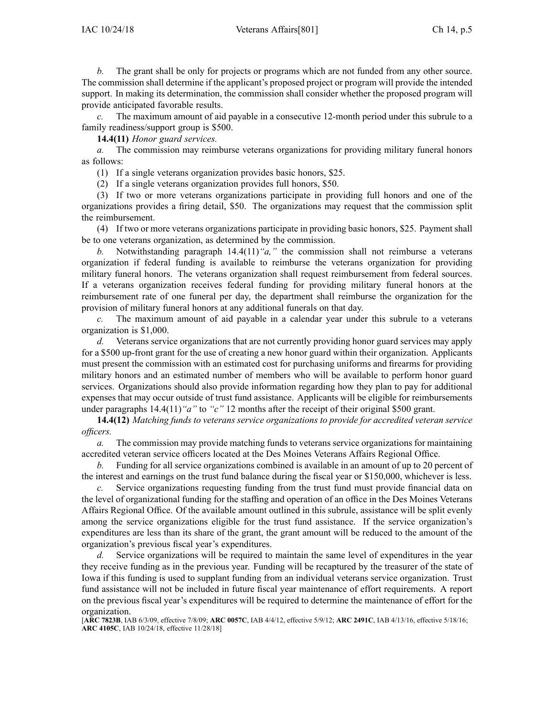*b.* The gran<sup>t</sup> shall be only for projects or programs which are not funded from any other source. The commission shall determine if the applicant's proposed project or program will provide the intended support. In making its determination, the commission shall consider whether the proposed program will provide anticipated favorable results.

The maximum amount of aid payable in a consecutive 12-month period under this subrule to a family readiness/support group is \$500.

**14.4(11)** *Honor guard services.*

*a.* The commission may reimburse veterans organizations for providing military funeral honors as follows:

(1) If <sup>a</sup> single veterans organization provides basic honors, \$25.

(2) If <sup>a</sup> single veterans organization provides full honors, \$50.

(3) If two or more veterans organizations participate in providing full honors and one of the organizations provides <sup>a</sup> firing detail, \$50. The organizations may reques<sup>t</sup> that the commission split the reimbursement.

(4) If two or more veterans organizations participate in providing basic honors, \$25. Payment shall be to one veterans organization, as determined by the commission.

*b.* Notwithstanding paragraph [14.4\(11\)](https://www.legis.iowa.gov/docs/iac/rule/801.14.4.pdf)*"a,"* the commission shall not reimburse <sup>a</sup> veterans organization if federal funding is available to reimburse the veterans organization for providing military funeral honors. The veterans organization shall reques<sup>t</sup> reimbursement from federal sources. If <sup>a</sup> veterans organization receives federal funding for providing military funeral honors at the reimbursement rate of one funeral per day, the department shall reimburse the organization for the provision of military funeral honors at any additional funerals on that day.

*c.* The maximum amount of aid payable in <sup>a</sup> calendar year under this subrule to <sup>a</sup> veterans organization is \$1,000.

*d.* Veterans service organizations that are not currently providing honor guard services may apply for <sup>a</sup> \$500 up-front gran<sup>t</sup> for the use of creating <sup>a</sup> new honor guard within their organization. Applicants must presen<sup>t</sup> the commission with an estimated cost for purchasing uniforms and firearms for providing military honors and an estimated number of members who will be available to perform honor guard services. Organizations should also provide information regarding how they plan to pay for additional expenses that may occur outside of trust fund assistance. Applicants will be eligible for reimbursements under paragraphs  $14.4(11)$  "*a*" to "*c*" 12 months after the receipt of their original \$500 grant.

**14.4(12)** *Matching funds to veterans service organizations to provide for accredited veteran service officers.*

*a.* The commission may provide matching funds to veterans service organizations for maintaining accredited veteran service officers located at the Des Moines Veterans Affairs Regional Office.

*b.* Funding for all service organizations combined is available in an amount of up to 20 percen<sup>t</sup> of the interest and earnings on the trust fund balance during the fiscal year or \$150,000, whichever is less.

*c.* Service organizations requesting funding from the trust fund must provide financial data on the level of organizational funding for the staffing and operation of an office in the Des Moines Veterans Affairs Regional Office. Of the available amount outlined in this subrule, assistance will be split evenly among the service organizations eligible for the trust fund assistance. If the service organization's expenditures are less than its share of the grant, the gran<sup>t</sup> amount will be reduced to the amount of the organization's previous fiscal year's expenditures.

*d.* Service organizations will be required to maintain the same level of expenditures in the year they receive funding as in the previous year. Funding will be recaptured by the treasurer of the state of Iowa if this funding is used to supplant funding from an individual veterans service organization. Trust fund assistance will not be included in future fiscal year maintenance of effort requirements. A repor<sup>t</sup> on the previous fiscal year's expenditures will be required to determine the maintenance of effort for the organization.

<sup>[</sup>**ARC [7823B](https://www.legis.iowa.gov/docs/aco/arc/7823B.pdf)**, IAB 6/3/09, effective 7/8/09; **ARC [0057C](https://www.legis.iowa.gov/docs/aco/arc/0057C.pdf)**, IAB 4/4/12, effective 5/9/12; **ARC [2491C](https://www.legis.iowa.gov/docs/aco/arc/2491C.pdf)**, IAB 4/13/16, effective 5/18/16; **ARC [4105C](https://www.legis.iowa.gov/docs/aco/arc/4105C.pdf)**, IAB 10/24/18, effective 11/28/18]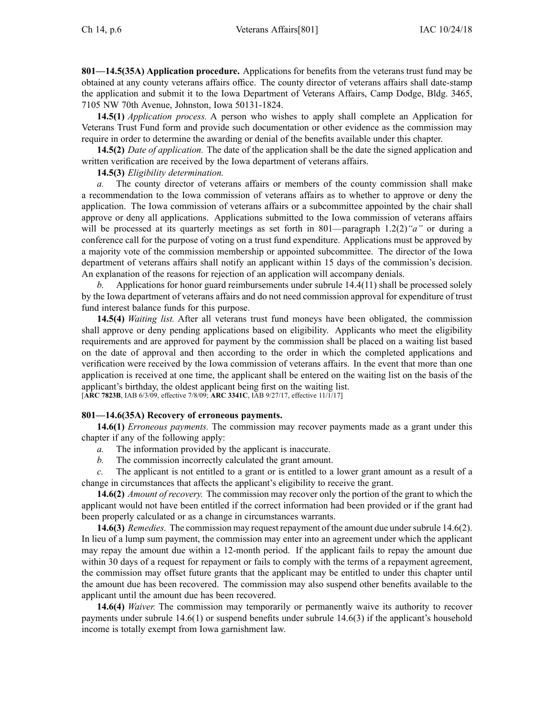**801—14.5(35A) Application procedure.** Applications for benefits from the veterans trust fund may be obtained at any county veterans affairs office. The county director of veterans affairs shall date-stamp the application and submit it to the Iowa Department of Veterans Affairs, Camp Dodge, Bldg. 3465, 7105 NW 70th Avenue, Johnston, Iowa 50131-1824.

**14.5(1)** *Application process.* A person who wishes to apply shall complete an Application for Veterans Trust Fund form and provide such documentation or other evidence as the commission may require in order to determine the awarding or denial of the benefits available under this chapter.

**14.5(2)** *Date of application.* The date of the application shall be the date the signed application and written verification are received by the Iowa department of veterans affairs.

**14.5(3)** *Eligibility determination.*

*a.* The county director of veterans affairs or members of the county commission shall make <sup>a</sup> recommendation to the Iowa commission of veterans affairs as to whether to approve or deny the application. The Iowa commission of veterans affairs or <sup>a</sup> subcommittee appointed by the chair shall approve or deny all applications. Applications submitted to the Iowa commission of veterans affairs will be processed at its quarterly meetings as set forth in [801—paragraph](https://www.legis.iowa.gov/docs/iac/rule/801.1.2.pdf) 1.2(2)*"a"* or during <sup>a</sup> conference call for the purpose of voting on <sup>a</sup> trust fund expenditure. Applications must be approved by <sup>a</sup> majority vote of the commission membership or appointed subcommittee. The director of the Iowa department of veterans affairs shall notify an applicant within 15 days of the commission's decision. An explanation of the reasons for rejection of an application will accompany denials.

*b.* Applications for honor guard reimbursements under subrule [14.4\(11\)](https://www.legis.iowa.gov/docs/iac/rule/801.14.4.pdf) shall be processed solely by the Iowa department of veterans affairs and do not need commission approval for expenditure of trust fund interest balance funds for this purpose.

**14.5(4)** *Waiting list.* After all veterans trust fund moneys have been obligated, the commission shall approve or deny pending applications based on eligibility. Applicants who meet the eligibility requirements and are approved for paymen<sup>t</sup> by the commission shall be placed on <sup>a</sup> waiting list based on the date of approval and then according to the order in which the completed applications and verification were received by the Iowa commission of veterans affairs. In the event that more than one application is received at one time, the applicant shall be entered on the waiting list on the basis of the applicant's birthday, the oldest applicant being first on the waiting list. [**ARC [7823B](https://www.legis.iowa.gov/docs/aco/arc/7823B.pdf)**, IAB 6/3/09, effective 7/8/09; **ARC [3341C](https://www.legis.iowa.gov/docs/aco/arc/3341C.pdf)**, IAB 9/27/17, effective 11/1/17]

## **801—14.6(35A) Recovery of erroneous payments.**

**14.6(1)** *Erroneous payments.* The commission may recover payments made as <sup>a</sup> gran<sup>t</sup> under this chapter if any of the following apply:

*a.* The information provided by the applicant is inaccurate.

*b.* The commission incorrectly calculated the gran<sup>t</sup> amount.

*c.* The applicant is not entitled to <sup>a</sup> gran<sup>t</sup> or is entitled to <sup>a</sup> lower gran<sup>t</sup> amount as <sup>a</sup> result of <sup>a</sup> change in circumstances that affects the applicant's eligibility to receive the grant.

**14.6(2)** *Amount of recovery.* The commission may recover only the portion of the gran<sup>t</sup> to which the applicant would not have been entitled if the correct information had been provided or if the gran<sup>t</sup> had been properly calculated or as <sup>a</sup> change in circumstances warrants.

**14.6(3)** *Remedies.* The commission may reques<sup>t</sup> repaymen<sup>t</sup> of the amount due undersubrule [14.6\(2\)](https://www.legis.iowa.gov/docs/iac/rule/801.14.6.pdf). In lieu of <sup>a</sup> lump sum payment, the commission may enter into an agreemen<sup>t</sup> under which the applicant may repay the amount due within <sup>a</sup> 12-month period. If the applicant fails to repay the amount due within 30 days of <sup>a</sup> reques<sup>t</sup> for repaymen<sup>t</sup> or fails to comply with the terms of <sup>a</sup> repaymen<sup>t</sup> agreement, the commission may offset future grants that the applicant may be entitled to under this chapter until the amount due has been recovered. The commission may also suspend other benefits available to the applicant until the amount due has been recovered.

**14.6(4)** *Waiver.* The commission may temporarily or permanently waive its authority to recover payments under subrule [14.6\(1\)](https://www.legis.iowa.gov/docs/iac/rule/801.14.6.pdf) or suspend benefits under subrule [14.6\(3\)](https://www.legis.iowa.gov/docs/iac/rule/801.14.6.pdf) if the applicant's household income is totally exemp<sup>t</sup> from Iowa garnishment law.